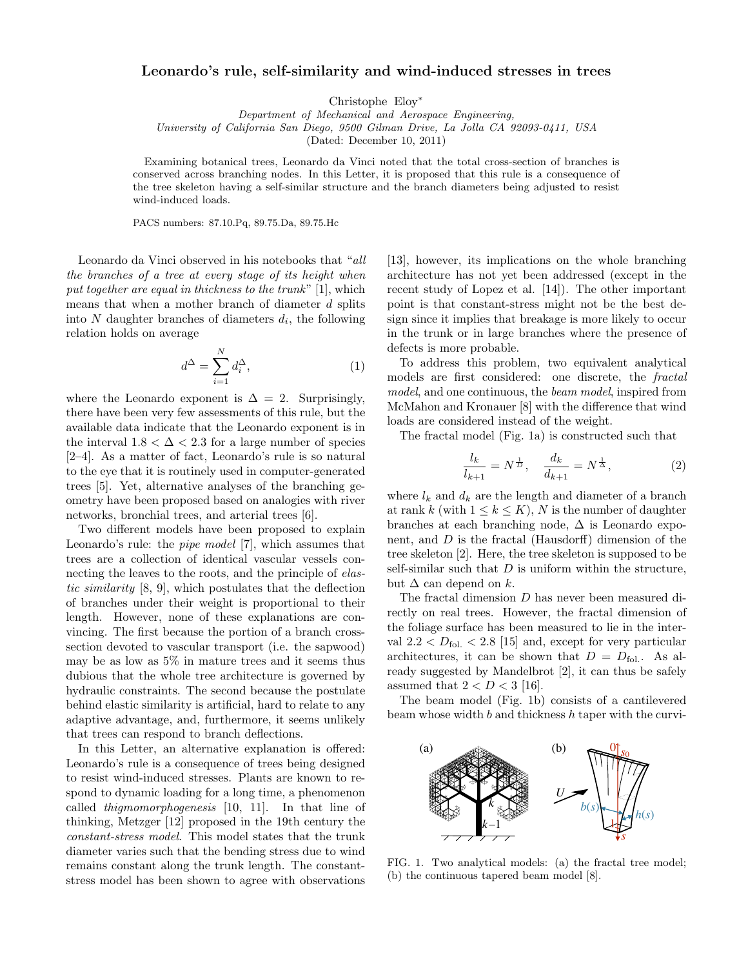## Leonardo's rule, self-similarity and wind-induced stresses in trees

Christophe Eloy<sup>∗</sup>

Department of Mechanical and Aerospace Engineering, University of California San Diego, 9500 Gilman Drive, La Jolla CA 92093-0411, USA

(Dated: December 10, 2011)

Examining botanical trees, Leonardo da Vinci noted that the total cross-section of branches is conserved across branching nodes. In this Letter, it is proposed that this rule is a consequence of the tree skeleton having a self-similar structure and the branch diameters being adjusted to resist wind-induced loads.

PACS numbers: 87.10.Pq, 89.75.Da, 89.75.Hc

Leonardo da Vinci observed in his notebooks that "all the branches of a tree at every stage of its height when put together are equal in thickness to the trunk" [1], which means that when a mother branch of diameter d splits into  $N$  daughter branches of diameters  $d_i$ , the following relation holds on average

$$
d^{\Delta} = \sum_{i=1}^{N} d_i^{\Delta},\tag{1}
$$

where the Leonardo exponent is  $\Delta = 2$ . Surprisingly, there have been very few assessments of this rule, but the available data indicate that the Leonardo exponent is in the interval  $1.8 < \Delta < 2.3$  for a large number of species [2–4]. As a matter of fact, Leonardo's rule is so natural to the eye that it is routinely used in computer-generated trees [5]. Yet, alternative analyses of the branching geometry have been proposed based on analogies with river networks, bronchial trees, and arterial trees [6].

Two different models have been proposed to explain Leonardo's rule: the pipe model [7], which assumes that trees are a collection of identical vascular vessels connecting the leaves to the roots, and the principle of elastic similarity [8, 9], which postulates that the deflection of branches under their weight is proportional to their length. However, none of these explanations are convincing. The first because the portion of a branch crosssection devoted to vascular transport (i.e. the sapwood) may be as low as 5% in mature trees and it seems thus dubious that the whole tree architecture is governed by hydraulic constraints. The second because the postulate behind elastic similarity is artificial, hard to relate to any adaptive advantage, and, furthermore, it seems unlikely that trees can respond to branch deflections.

In this Letter, an alternative explanation is offered: Leonardo's rule is a consequence of trees being designed to resist wind-induced stresses. Plants are known to respond to dynamic loading for a long time, a phenomenon called thigmomorphogenesis [10, 11]. In that line of thinking, Metzger [12] proposed in the 19th century the constant-stress model. This model states that the trunk diameter varies such that the bending stress due to wind remains constant along the trunk length. The constantstress model has been shown to agree with observations  $x^2$  plane yiz plane yïz plane yïz plane yïz plane yïz plane yïz plane yïz plane yïz plane yïz plane yïz plane yïz

[13], however, its implications on the whole branching architecture has not yet been addressed (except in the recent study of Lopez et al. [14]). The other important point is that constant-stress might not be the best design since it implies that breakage is more likely to occur in the trunk or in large branches where the presence of defects is more probable.

To address this problem, two equivalent analytical models are first considered: one discrete, the fractal model, and one continuous, the beam model, inspired from McMahon and Kronauer [8] with the difference that wind loads are considered instead of the weight.

The fractal model (Fig. 1a) is constructed such that

$$
\frac{l_k}{l_{k+1}} = N^{\frac{1}{D}}, \quad \frac{d_k}{d_{k+1}} = N^{\frac{1}{\Delta}}, \tag{2}
$$

where  $l_k$  and  $d_k$  are the length and diameter of a branch at rank k (with  $1 \leq k \leq K$ ), N is the number of daughter branches at each branching node,  $\Delta$  is Leonardo exponent, and  $D$  is the fractal (Hausdorff) dimension of the tree skeleton [2]. Here, the tree skeleton is supposed to be self-similar such that  $D$  is uniform within the structure, but  $\Delta$  can depend on k.

The fractal dimension D has never been measured directly on real trees. However, the fractal dimension of the foliage surface has been measured to lie in the interval  $2.2 < D_{\text{fol.}} < 2.8$  [15] and, except for very particular architectures, it can be shown that  $D = D_{\text{fol.}}$ . As already suggested by Mandelbrot [2], it can thus be safely assumed that  $2 < D < 3$  [16].

The beam model (Fig. 1b) consists of a cantilevered beam whose width  $b$  and thickness  $h$  taper with the curvi-



FIG. 1. Two analytical models: (a) the fractal tree model; (b) the continuous tapered beam model [8].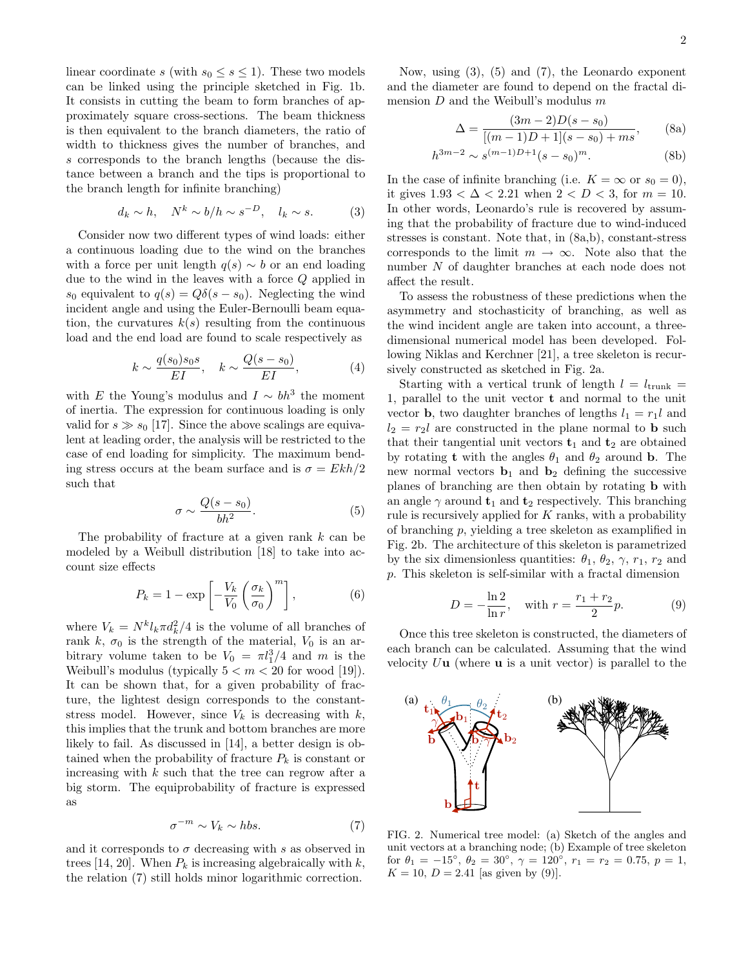linear coordinate s (with  $s_0 \leq s \leq 1$ ). These two models can be linked using the principle sketched in Fig. 1b. It consists in cutting the beam to form branches of approximately square cross-sections. The beam thickness is then equivalent to the branch diameters, the ratio of width to thickness gives the number of branches, and s corresponds to the branch lengths (because the distance between a branch and the tips is proportional to the branch length for infinite branching)

$$
d_k \sim h, \quad N^k \sim b/h \sim s^{-D}, \quad l_k \sim s. \tag{3}
$$

Consider now two different types of wind loads: either a continuous loading due to the wind on the branches with a force per unit length  $q(s) \sim b$  or an end loading due to the wind in the leaves with a force Q applied in s<sub>0</sub> equivalent to  $q(s) = Q\delta(s - s_0)$ . Neglecting the wind incident angle and using the Euler-Bernoulli beam equation, the curvatures  $k(s)$  resulting from the continuous load and the end load are found to scale respectively as

$$
k \sim \frac{q(s_0) s_0 s}{EI}, \quad k \sim \frac{Q(s - s_0)}{EI}, \tag{4}
$$

with E the Young's modulus and  $I \sim bh^3$  the moment of inertia. The expression for continuous loading is only valid for  $s \gg s_0$  [17]. Since the above scalings are equivalent at leading order, the analysis will be restricted to the case of end loading for simplicity. The maximum bending stress occurs at the beam surface and is  $\sigma = Ekh/2$ such that

$$
\sigma \sim \frac{Q(s - s_0)}{bh^2}.\tag{5}
$$

The probability of fracture at a given rank  $k$  can be modeled by a Weibull distribution [18] to take into account size effects

$$
P_k = 1 - \exp\left[-\frac{V_k}{V_0} \left(\frac{\sigma_k}{\sigma_0}\right)^m\right],\tag{6}
$$

where  $V_k = N^k l_k \pi d_k^2 / 4$  is the volume of all branches of rank k,  $\sigma_0$  is the strength of the material,  $V_0$  is an arbitrary volume taken to be  $V_0 = \pi l_1^3/4$  and m is the Weibull's modulus (typically  $5 < m < 20$  for wood [19]). It can be shown that, for a given probability of fracture, the lightest design corresponds to the constantstress model. However, since  $V_k$  is decreasing with  $k$ , this implies that the trunk and bottom branches are more likely to fail. As discussed in [14], a better design is obtained when the probability of fracture  $P_k$  is constant or increasing with  $k$  such that the tree can regrow after a big storm. The equiprobability of fracture is expressed as

$$
\sigma^{-m} \sim V_k \sim hbs. \tag{7}
$$

and it corresponds to  $\sigma$  decreasing with s as observed in trees [14, 20]. When  $P_k$  is increasing algebraically with k, the relation (7) still holds minor logarithmic correction.

Now, using (3), (5) and (7), the Leonardo exponent and the diameter are found to depend on the fractal dimension  $D$  and the Weibull's modulus  $m$ 

h

$$
\Delta = \frac{(3m-2)D(s-s_0)}{[(m-1)D+1](s-s_0)+ms},
$$
 (8a)

$$
3m-2 \sim s^{(m-1)D+1} (s - s_0)^m. \tag{8b}
$$

In the case of infinite branching (i.e.  $K = \infty$  or  $s_0 = 0$ ), it gives  $1.93 < \Delta < 2.21$  when  $2 < D < 3$ , for  $m = 10$ . In other words, Leonardo's rule is recovered by assuming that the probability of fracture due to wind-induced stresses is constant. Note that, in (8a,b), constant-stress corresponds to the limit  $m \to \infty$ . Note also that the number N of daughter branches at each node does not affect the result.

To assess the robustness of these predictions when the asymmetry and stochasticity of branching, as well as the wind incident angle are taken into account, a threedimensional numerical model has been developed. Following Niklas and Kerchner [21], a tree skeleton is recursively constructed as sketched in Fig. 2a.

Starting with a vertical trunk of length  $l = l_{\text{trunk}} =$ 1, parallel to the unit vector t and normal to the unit vector **b**, two daughter branches of lengths  $l_1 = r_1 l$  and  $l_2 = r_2l$  are constructed in the plane normal to **b** such that their tangential unit vectors  $t_1$  and  $t_2$  are obtained by rotating **t** with the angles  $\theta_1$  and  $\theta_2$  around **b**. The new normal vectors  $\mathbf{b}_1$  and  $\mathbf{b}_2$  defining the successive planes of branching are then obtain by rotating b with an angle  $\gamma$  around  $t_1$  and  $t_2$  respectively. This branching rule is recursively applied for K ranks, with a probability of branching p, yielding a tree skeleton as examplified in Fig. 2b. The architecture of this skeleton is parametrized by the six dimensionless quantities:  $\theta_1$ ,  $\theta_2$ ,  $\gamma$ ,  $r_1$ ,  $r_2$  and p. This skeleton is self-similar with a fractal dimension

$$
D = -\frac{\ln 2}{\ln r}, \quad \text{with } r = \frac{r_1 + r_2}{2}p. \tag{9}
$$

Once this tree skeleton is constructed, the diameters of each branch can be calculated. Assuming that the wind velocity  $U$ **u** (where **u** is a unit vector) is parallel to the



FIG. 2. Numerical tree model: (a) Sketch of the angles and unit vectors at a branching node; (b) Example of tree skeleton for  $\theta_1 = -15^\circ$ ,  $\theta_2 = 30^\circ$ ,  $\gamma = 120^\circ$ ,  $r_1 = r_2 = 0.75$ ,  $p = 1$ ,  $K = 10, D = 2.41$  [as given by (9)].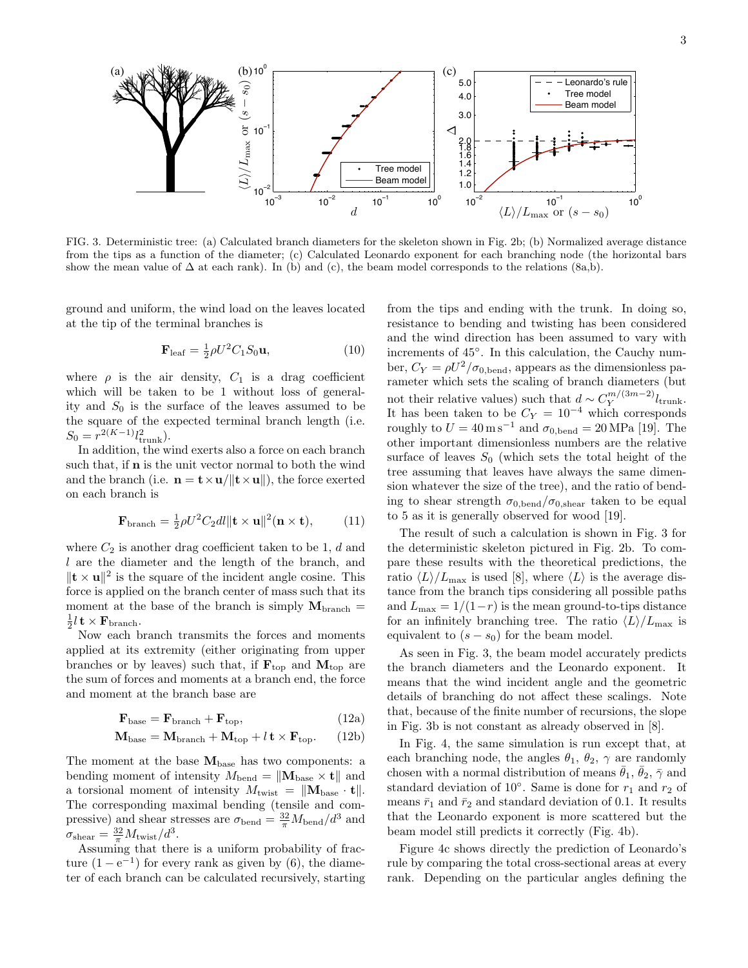

show the mean value of  $\Delta$  at each rank). In (b) and (c), the beam model corresponds to the relations (8a,b). FIG. 3. Deterministic tree: (a) Calculated branch diameters for the skeleton shown in Fig. 2b; (b) Normalized average distance from the tips as a function of the diameter; (c) Calculated Leonardo exponent for each branching node (the horizontal bars

ground and uniform, the wind load on the leaves located at the tip of the terminal branches is

$$
\mathbf{F}_{\text{leaf}} = \frac{1}{2} \rho U^2 C_1 S_0 \mathbf{u},\tag{10}
$$

where  $\rho$  is the air density,  $C_1$  is a drag coefficient which will be taken to be 1 without loss of generality and  $S_0$  is the surface of the leaves assumed to be the square of the expected terminal branch length (i.e.  $S_0 = r^{2(K-1)} l_{\text{trunk}}^2$ .

In addition, the wind exerts also a force on each branch such that, if **n** is the unit vector normal to both the wind and the branch (i.e.  $\mathbf{n} = \mathbf{t} \times \mathbf{u}/\|\mathbf{t} \times \mathbf{u}\|$ ), the force exerted on each branch is

$$
\mathbf{F}_{\text{branch}} = \frac{1}{2}\rho U^2 C_2 dl \|\mathbf{t} \times \mathbf{u}\|^2 (\mathbf{n} \times \mathbf{t}), \quad (11)
$$

where  $C_2$  is another drag coefficient taken to be 1, d and l are the diameter and the length of the branch, and  $\|\mathbf{t} \times \mathbf{u}\|^2$  is the square of the incident angle cosine. This force is applied on the branch center of mass such that its moment at the base of the branch is simply  $M_{branch}$  $\frac{1}{2} l$  t  $\times {\bf F}_{\rm branch}.$ 

Now each branch transmits the forces and moments applied at its extremity (either originating from upper branches or by leaves) such that, if  $\mathbf{F}_{\text{top}}$  and  $\mathbf{M}_{\text{top}}$  are the sum of forces and moments at a branch end, the force and moment at the branch base are

$$
\mathbf{F}_{\text{base}} = \mathbf{F}_{\text{branch}} + \mathbf{F}_{\text{top}},\tag{12a}
$$

$$
\mathbf{M}_{\text{base}} = \mathbf{M}_{\text{branch}} + \mathbf{M}_{\text{top}} + l \mathbf{t} \times \mathbf{F}_{\text{top}}.
$$
 (12b)

The moment at the base  $M_{base}$  has two components: a bending moment of intensity  $M_{\text{bend}} = ||\mathbf{M}_{\text{base}} \times \mathbf{t}||$  and a torsional moment of intensity  $M_{\text{twist}} = ||\mathbf{M}_{\text{base}} \cdot \mathbf{t}||.$ The corresponding maximal bending (tensile and compressive) and shear stresses are  $\sigma_{\text{bend}} = \frac{32}{\pi} M_{\text{bend}} / d^3$  and  $\sigma_{\text{shear}} = \frac{32}{\pi} M_{\text{twist}} / d^3.$ 

Assuming that there is a uniform probability of fracture  $(1 - e^{-1})$  for every rank as given by (6), the diameter of each branch can be calculated recursively, starting

from the tips and ending with the trunk. In doing so, resistance to bending and twisting has been considered and the wind direction has been assumed to vary with increments of  $45^\circ$ . In this calculation, the Cauchy number,  $C_Y = \rho U^2 / \sigma_{0,\text{bend}}$ , appears as the dimensionless panot their relative values) such that  $d \sim C_Y^{m/(3m-2)}$ It has been taken to be  $C_Y = 10^{-4}$  which corresponds roughly to  $U = 40 \,\mathrm{m\,s^{-1}}$  and  $\sigma_{0,\text{bend}} = 20 \,\text{MPa}$  [19]. The other important dimensionless numbers are the relative surface of leaves  $S_0$  (which sets the total height of the rameter which sets the scaling of branch diameters (but  $Y^{m/(3m-2)}l_{\text{trunk}}.$ tree assuming that leaves have always the same dimension whatever the size of the tree), and the ratio of bending to shear strength  $\sigma_{0,\text{bend}}/\sigma_{0,\text{shear}}$  taken to be equal to 5 as it is generally observed for wood [19].

The result of such a calculation is shown in Fig. 3 for the deterministic skeleton pictured in Fig. 2b. To compare these results with the theoretical predictions, the ratio  $\langle L \rangle/L_{\text{max}}$  is used [8], where  $\langle L \rangle$  is the average distance from the branch tips considering all possible paths and  $L_{\text{max}} = 1/(1-r)$  is the mean ground-to-tips distance for an infinitely branching tree. The ratio  $\langle L \rangle/L_{\text{max}}$  is equivalent to  $(s - s_0)$  for the beam model.

As seen in Fig. 3, the beam model accurately predicts the branch diameters and the Leonardo exponent. It means that the wind incident angle and the geometric details of branching do not affect these scalings. Note that, because of the finite number of recursions, the slope in Fig. 3b is not constant as already observed in [8].

In Fig. 4, the same simulation is run except that, at each branching node, the angles  $\theta_1$ ,  $\theta_2$ ,  $\gamma$  are randomly chosen with a normal distribution of means  $\bar{\theta}_1$ ,  $\bar{\theta}_2$ ,  $\bar{\gamma}$  and standard deviation of 10 $^{\circ}$ . Same is done for  $r_1$  and  $r_2$  of means  $\bar{r}_1$  and  $\bar{r}_2$  and standard deviation of 0.1. It results that the Leonardo exponent is more scattered but the beam model still predicts it correctly (Fig. 4b).

Figure 4c shows directly the prediction of Leonardo's rule by comparing the total cross-sectional areas at every rank. Depending on the particular angles defining the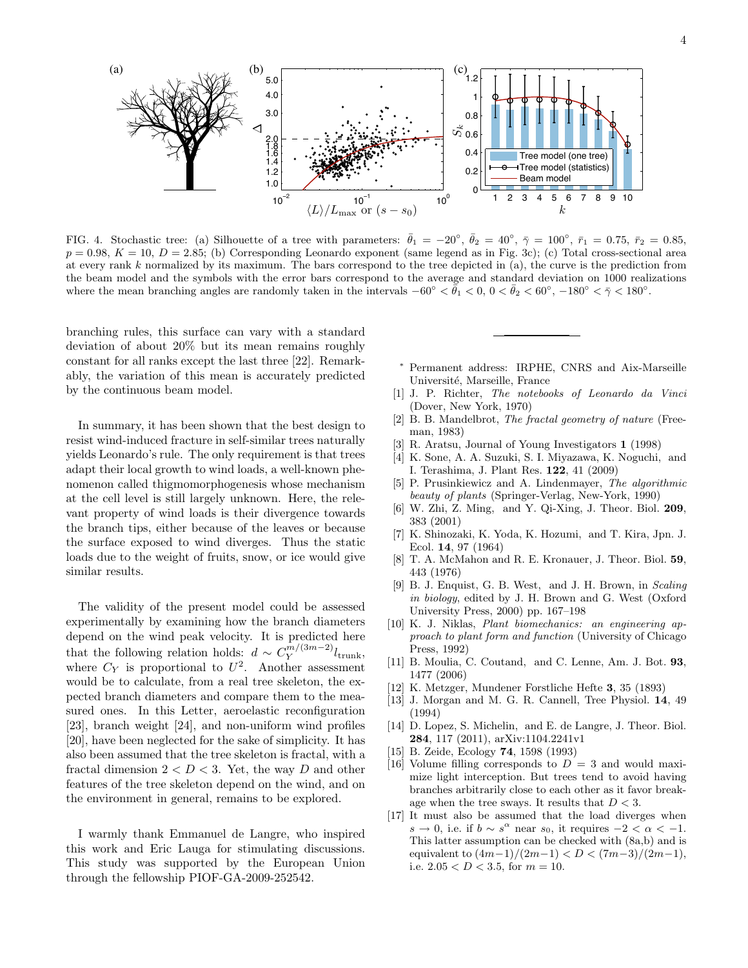

FIG. 4. Stochastic tree: (a) Silhouette of a tree with parameters:  $\bar{\theta}_1 = -20^\circ$ ,  $\bar{\theta}_2 = 40^\circ$ ,  $\bar{\gamma} = 100^\circ$ ,  $\bar{r}_1 = 0.75$ ,  $\bar{r}_2 = 0.85$ ,  $p = 0.98, K = 10, D = 2.85$ ; (b) Corresponding Leonardo exponent (same legend as in Fig. 3c); (c) Total cross-sectional area at every rank k normalized by its maximum. The bars correspond to the tree depicted in  $(a)$ , the curve is the prediction from the beam model and the symbols with the error bars correspond to the average and standard deviation on 1000 realizations where the mean branching angles are randomly taken in the intervals  $-60^{\circ} < \overline{\theta}_1 < 0$ ,  $0 < \overline{\theta}_2 < 60^{\circ}$ ,  $-180^{\circ} < \overline{\gamma} < 180^{\circ}$ .

deviation of about 20% but its mean remains roughly constant for all ranks except the last three  $[22]$ . Remarkably, the variation of this mean is accurately predicted branching rules, this surface can vary with a standard by the continuous beam model.

In summary, it has been shown that the best design to resist wind-induced fracture in self-similar trees naturally yields Leonardo's rule. The only requirement is that trees adapt their local growth to wind loads, a well-known phenomenon called thigmomorphogenesis whose mechanism at the cell level is still largely unknown. Here, the relevant property of wind loads is their divergence towards the branch tips, either because of the leaves or because the surface exposed to wind diverges. Thus the static loads due to the weight of fruits, snow, or ice would give similar results.

The validity of the present model could be assessed experimentally by examining how the branch diameters depend on the wind peak velocity. It is predicted here that the following relation holds:  $d \sim C_Y^{m/(3m-2)}$  $Y^{m/(3m-2)}l_{\text{trunk}},$ where  $C_Y$  is proportional to  $U^2$ . Another assessment would be to calculate, from a real tree skeleton, the expected branch diameters and compare them to the measured ones. In this Letter, aeroelastic reconfiguration [23], branch weight [24], and non-uniform wind profiles [20], have been neglected for the sake of simplicity. It has also been assumed that the tree skeleton is fractal, with a fractal dimension  $2 < D < 3$ . Yet, the way D and other features of the tree skeleton depend on the wind, and on the environment in general, remains to be explored.

I warmly thank Emmanuel de Langre, who inspired this work and Eric Lauga for stimulating discussions. This study was supported by the European Union through the fellowship PIOF-GA-2009-252542.

- \* Permanent address: IRPHE, CNRS and Aix-Marseille  $t$  of the address. The H<sub>2</sub>, Strike and Université, Marseille, France
- [1] J. P. Richter, *The notebooks of Leonardo da Vinci* (Dover, New York, 1970)
- [2]  $\dot{B}$ . B. Mandelbrot, *The fractal geometry of nature* (Freeman, 1983)
- [3] R. Aratsu, Journal of Young Investigators 1 (1998)
- [4] K. Sone, A. A. Suzuki, S. I. Miyazawa, K. Noguchi, and I. Terashima, J. Plant Res. 122, 41 (2009)
- [5] P. Prusinkiewicz and A. Lindenmayer, The algorithmic beauty of plants (Springer-Verlag, New-York, 1990)
- [6] W. Zhi, Z. Ming, and Y. Qi-Xing, J. Theor. Biol. 209, 383 (2001)
- [7] K. Shinozaki, K. Yoda, K. Hozumi, and T. Kira, Jpn. J. Ecol. 14, 97 (1964)
- [8] T. A. McMahon and R. E. Kronauer, J. Theor. Biol. 59, 443 (1976)
- [9] B. J. Enquist, G. B. West, and J. H. Brown, in Scaling in biology, edited by J. H. Brown and G. West (Oxford University Press, 2000) pp. 167–198
- [10] K. J. Niklas, Plant biomechanics: an engineering approach to plant form and function (University of Chicago Press, 1992)
- [11] B. Moulia, C. Coutand, and C. Lenne, Am. J. Bot. 93, 1477 (2006)
- [12] K. Metzger, Mundener Forstliche Hefte 3, 35 (1893)
- [13] J. Morgan and M. G. R. Cannell, Tree Physiol. 14, 49 (1994)
- [14] D. Lopez, S. Michelin, and E. de Langre, J. Theor. Biol. 284, 117 (2011), arXiv:1104.2241v1
- [15] B. Zeide, Ecology 74, 1598 (1993)
- [16] Volume filling corresponds to  $D = 3$  and would maximize light interception. But trees tend to avoid having branches arbitrarily close to each other as it favor breakage when the tree sways. It results that  $D < 3$ .
- [17] It must also be assumed that the load diverges when  $s \to 0$ , i.e. if  $b \sim s^{\alpha}$  near  $s_0$ , it requires  $-2 < \alpha < -1$ . This latter assumption can be checked with (8a,b) and is equivalent to  $(4m-1)/(2m-1) < D < (7m-3)/(2m-1)$ , i.e.  $2.05 < D < 3.5$ , for  $m = 10$ .